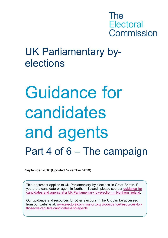

## elections UK Parliamentary by-

# Guidance for candidates and agents Part 4 of 6 – The campaign

September 2016 (Updated November 2018)

This document applies to UK Parliamentary by-elections in Great Britain. If you are a candidate or agent in Northern Ireland, please see our [guidance for](http://www.electoralcommission.org.uk/i-am-a/candidate-or-agent/uk-parliamentary-by-elections-Northern-Ireland)  [candidates and agents at a UK Parliamentary by-election in Northern Ireland.](http://www.electoralcommission.org.uk/i-am-a/candidate-or-agent/uk-parliamentary-by-elections-Northern-Ireland)

Our guidance and resources for other elections in the UK can be accessed from our website at: [www.electoralcommission.org.uk/guidance/resources-for](http://www.electoralcommission.org.uk/guidance/resources-for-those-we-regulate/candidates-and-agents)[those-we-regulate/candidates-and-agents.](http://www.electoralcommission.org.uk/guidance/resources-for-those-we-regulate/candidates-and-agents)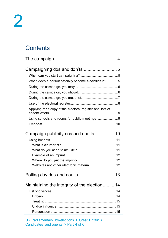## **Contents**

| Campaigning dos and don'ts 5                               |  |
|------------------------------------------------------------|--|
|                                                            |  |
| When does a person officially become a candidate?5         |  |
|                                                            |  |
|                                                            |  |
|                                                            |  |
|                                                            |  |
| Applying for a copy of the electoral register and lists of |  |
|                                                            |  |
|                                                            |  |
| Campaign publicity dos and don'ts  10                      |  |
|                                                            |  |
|                                                            |  |
|                                                            |  |
|                                                            |  |
|                                                            |  |
|                                                            |  |
|                                                            |  |
| Maintaining the integrity of the election 14               |  |
|                                                            |  |
|                                                            |  |
|                                                            |  |
|                                                            |  |
|                                                            |  |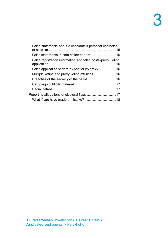| False statements about a candidate's personal character      |  |
|--------------------------------------------------------------|--|
|                                                              |  |
| False registration information and false postal/proxy voting |  |
|                                                              |  |
|                                                              |  |
|                                                              |  |
|                                                              |  |
|                                                              |  |
|                                                              |  |
|                                                              |  |
|                                                              |  |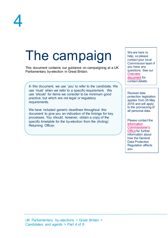

## <span id="page-3-0"></span>The campaign

This document contains our guidance on campaigning at a UK Parliamentary by-election in Great Britain.

In this document, we use 'you' to refer to the candidate. We use 'must' when we refer to a specific requirement. We use 'should' for items we consider to be minimum good practice, but which are not legal or regulatory requirements.

We have included generic deadlines throughout this document to give you an indication of the timings for key processes. You should, however, obtain a copy of the specific timetable for the by-election from the (Acting) Returning Officer.

We are here to help, so please contact your local Commission team if you have any questions. See our **Overview** [document](http://www.electoralcommission.org.uk/__data/assets/pdf_file/0018/214227/Parliamentary-By-Election-Overview.pdf) for contact details.

Revised data protection legislation applies from 25 May 2018 and will apply to the processing of all personal data.

Please contact the **Information** [Commissioner's](https://ico.org.uk/for-organisations/guide-to-the-general-data-protection-regulation-gdpr/)  [Office](https://ico.org.uk/for-organisations/guide-to-the-general-data-protection-regulation-gdpr/) for further information about how the General Data Protection Regulation affects you.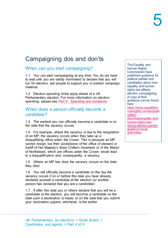## <span id="page-4-0"></span>Campaigning dos and don'ts

## <span id="page-4-1"></span>When can you start campaigning?

1.1 You can start campaigning at any time. You do not have to wait until you are validly nominated to declare that you will run for election, ask people to support you or publish campaign material.

1.2 Election spending limits apply ahead of a UK Parliamentary election. For more information on election spending, please see Part 3 - [Spending and donations.](http://www.electoralcommission.org.uk/__data/assets/pdf_file/0003/214248/Parliamentary-By-Election-Part-3-Spending-and-donations.pdf)

## <span id="page-4-2"></span>When does a person officially become a candidate?

<span id="page-4-3"></span>1.3 The earliest you can officially become a candidate is on the date that the vacancy occurs.

1.4 For example, where the vacancy is due to the resignation of an MP, the vacancy occurs when they take up a disqualifying office under the Crown. This is because an MP cannot resign, but their acceptance of the office of steward or bailiff of Her Majesty's three Chiltern Hundreds or of the Manor of Northstead, which are offices under the Crown, would lead to a disqualification and, consequently, a vacancy.

1.5 Where an MP has died, the vacancy occurs on the date they died.

1.6 You will officially become a candidate on the day the vacancy occurs if on or before this date you have already declared yourself a candidate at the election (or another person has declared that you are a candidate).

<span id="page-4-4"></span>1.7 If after this date you or others declare that you will be a candidate at the election, you will become a candidate on the date such a declaration is made, or on the date that you submit your nomination papers, whichever is the earlier.

The Equality and Human Rights Commission have published guidance for political parties and candidates about how equality and human rights law affects election campaigning. A copy of their guidance can be found here: [https://www.equalityhu](https://www.equalityhumanrights.com/en/publication-download/equality-and-human-rights-law-during-election-period-guidance-local-authorities) [manrights.com/en/publi](https://www.equalityhumanrights.com/en/publication-download/equality-and-human-rights-law-during-election-period-guidance-local-authorities) [cation](https://www.equalityhumanrights.com/en/publication-download/equality-and-human-rights-law-during-election-period-guidance-local-authorities)[download/equality-and](https://www.equalityhumanrights.com/en/publication-download/equality-and-human-rights-law-during-election-period-guidance-local-authorities)[human-rights-law](https://www.equalityhumanrights.com/en/publication-download/equality-and-human-rights-law-during-election-period-guidance-local-authorities)[during-election-period](https://www.equalityhumanrights.com/en/publication-download/equality-and-human-rights-law-during-election-period-guidance-local-authorities)[guidance-local](https://www.equalityhumanrights.com/en/publication-download/equality-and-human-rights-law-during-election-period-guidance-local-authorities)[authorities](https://www.equalityhumanrights.com/en/publication-download/equality-and-human-rights-law-during-election-period-guidance-local-authorities)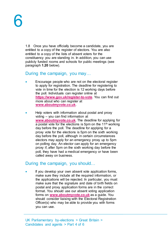1.8 Once you have officially become a candidate, you are entitled to a copy of the register of electors. You are also entitled to a copy of the lists of absent voters for the constituency you are standing in. In addition, you can use publicly funded rooms and schools for public meetings (see paragraph **[1.20](#page-8-2)** below).

## <span id="page-5-0"></span>During the campaign, you may…

- Encourage people who are not on the electoral register to apply for registration. The deadline for registering to vote in time for the election is 12 working days before the poll. Individuals can register online at **<https://www.gov.uk/register-to-vote>**. You can find out more about who can register at **[www.aboutmyvote.co.uk](http://www.aboutmyvote.co.uk/)**.
- Help voters with information about postal and proxy voting – you can find information at **[www.aboutmyvote.co.uk](http://www.aboutmyvote.co.uk/)**. The deadline for applying for a postal vote for the elections is 5pm on the  $11<sup>th</sup>$  working day before the poll. The deadline for applying for a proxy vote for the elections is 5pm on the sixth working day before the poll, although in certain circumstances electors may apply for an emergency proxy up to 5pm on polling day. An elector can apply for an emergency proxy if, after 5pm on the sixth working day before the poll, they have had a medical emergency or have been called away on business.

## <span id="page-5-1"></span>During the campaign, you should…

If you develop your own absent vote application forms, make sure they include all the required information, or the applications will be rejected. In particular, you must make sure that the signature and date of birth fields on postal and proxy application forms are in the correct format. You should use our absent voting application forms on **[www.aboutmyvote.co.uk](http://www.aboutmyvote.co.uk/)** as a guide. You should consider liaising with the Electoral Registration Officer(s) who may be able to provide you with forms you can use.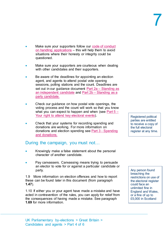- Make sure your supporters follow our code of conduct [on handling applications](http://www.electoralcommission.org.uk/__data/assets/pdf_file/0011/179741/Code-of-conduct-for-campaigners-2015.pdf) – this will help them to avoid situations where their honesty or integrity could be questioned.
- Make sure your supporters are courteous when dealing with other candidates and their supporters.
- Be aware of the deadlines for appointing an election agent, and agents to attend postal vote opening sessions, polling stations and the count. Deadlines are set out in our guidance document Part 2a – [Standing as](http://www.electoralcommission.org.uk/__data/assets/pdf_file/0020/214229/Parliamentary-By-Election-Part-2a-Standing-as-an-independent-candidate.pdf)  [an independent candidate](http://www.electoralcommission.org.uk/__data/assets/pdf_file/0020/214229/Parliamentary-By-Election-Part-2a-Standing-as-an-independent-candidate.pdf) and Part 2b – [Standing as a](http://www.electoralcommission.org.uk/__data/assets/pdf_file/0012/214230/Parliamentary-By-Election-Part-2b-Standing-as-an-independent-candidate.pdf)  [party candidate.](http://www.electoralcommission.org.uk/__data/assets/pdf_file/0012/214230/Parliamentary-By-Election-Part-2b-Standing-as-an-independent-candidate.pdf)
- Check our guidance on how postal vote openings, the voting process and the count will work so that you know what you can expect to happen and when (see Part  $5 -$ [Your right to attend key electoral events\).](http://www.electoralcommission.org.uk/__data/assets/pdf_file/0014/214232/Parliamentary-By-Election-Part-5-Your-right-to-attend-key-electoral-events.pdf)
- Check that your systems for recording spending and donations are working. For more information on donations and election spending see Part 3 - [Spending](http://www.electoralcommission.org.uk/__data/assets/pdf_file/0003/214248/Parliamentary-By-Election-Part-3-Spending-and-donations.pdf)  [and donations.](http://www.electoralcommission.org.uk/__data/assets/pdf_file/0003/214248/Parliamentary-By-Election-Part-3-Spending-and-donations.pdf)

## <span id="page-6-0"></span>During the campaign, you must not…

- Knowingly make a false statement about the personal character of another candidate.
- Pay canvassers. Canvassing means trying to persuade an elector to vote for or against a particular candidate or party.

1.9 More information on election offences and how to report these can be found later in this document (from paragraph **[1.47](#page-13-3)**).

1.10 If either you or your agent have made a mistake and have acted in contravention of the rules, you can apply for relief from the consequences of having made a mistake. See paragraph **[1.69](#page-17-1)** for more information.

Registered political parties are entitled to receive a copy of the full electoral register at any time.

Any person found breaching the restrictions on use of the electoral register could face an unlimited fine in England and Wales, or a fine of up to £5,000 in Scotland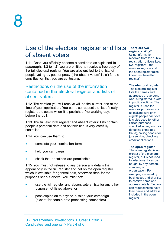## <span id="page-7-0"></span>Use of the electoral register and lists of absent voters

1.11 Once you officially become a candidate as explained in paragraphs **[1.3](#page-4-3)** to **[1.7](#page-4-4)**, you are entitled to receive a free copy of the full electoral register. You are also entitled to the lists of people voting by post or proxy ('the absent voters' lists') for the constituency that you are contesting.

## Restrictions on the use of the information contained in the electoral register and lists of absent voters

1.12 The version you will receive will be the current one at the time of your application. You can also request the list of newly registered electors when it is published five working days before the poll.

1.13 The full electoral register and absent voters' lists contain people's personal data and so their use is very carefully controlled.

1.14 You can use them to:

- complete your nomination form
- help you campaign
- check that donations are permissible

1.15 You must not release to any person any details that appear only in the full register and not on the open register which is available for general sale, otherwise than for the purposes set out above. You must not:

- use the full register and absent voters' lists for any other purpose not listed above, or
- pass copies on to anyone outside your campaign (except for certain data processing companies)

#### **There are two registers. Why?**

Using information received from the public, registration officers keep two registers – the electoral register and the open register (also known as the edited register).

**The electoral register** 

The electoral register lists the names and addresses of everyone who is registered to vote in public elections. The register is used for electoral purposes, such as making sure only eligible people can vote. It is also used for other limited purposes specified in law, such as detecting crime (e.g. fraud), calling people for jury service, checking credit applications.

#### **The open register**

The open register is an extract of the electoral register, but is not used for elections. It can be bought by any person, company or organisation. For example, it is used by businesses and charities to confirm name and address details. Electors can request not to have their name and address included in the open register.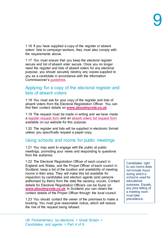1.16 If you have supplied a copy of the register or absent voters' lists to campaign workers, they must also comply with the requirements above.

1.17 You must ensure that you keep the electoral register secure and list of absent voter secure. Once you no longer need the register and lists of absent voters for any electoral purpose, you should securely destroy any copies supplied to you as a candidate in accordance with the Information Commissioner's [guidelines.](https://ico.org.uk/media/for-organisations/documents/1475/deleting_personal_data.pdf)

## <span id="page-8-0"></span>Applying for a copy of the electoral register and lists of absent voters

1.18 You must ask for your copy of the register and lists of absent voters from the Electoral Registration Officer. You can find their contact details on **[www.aboutmyvote.co.uk](http://www.aboutmyvote.co.uk/)**.

1.19 The request must be made in writing and we have made a [register request form](http://www.electoralcommission.org.uk/__data/assets/word_doc/0010/141886/Register-request-form-generic.doc) and an [absent voters list request form](http://www.electoralcommission.org.uk/__data/assets/word_doc/0004/141889/Absent-voters-list-request-form-generic.doc) available on our website for this purpose.

1.20 The register and lists will be supplied in electronic format unless you specifically request a paper copy.

## <span id="page-8-1"></span>Using schools and rooms for public meetings

<span id="page-8-2"></span>1.21 You may want to engage with the public at public meetings, promoting your views and responding to questions from the audience.

1.22 The Electoral Registration Officer of each council in England and Wales, and the Proper Officer of each council in Scotland, keep a list of the location and availability of meeting rooms in their area. They will make this list available for inspection by candidates and election agents (and persons authorised by them) from the date the vacancy occurs. Contact details for Electoral Registration Officers can be found on **[www.aboutmyvote.co.uk](http://www.aboutmyvote.co.uk/)**. In Scotland you can obtain the contact details of the Proper Officer through the local council.

1.23 You should contact the owner of the premises to make a booking. You must give reasonable notice, which will reduce the risk of the request being refused.

Candidates' right to use rooms does not include hours during which a school is used for educational purposes. Equally, any prior letting of a meeting room must take precedence.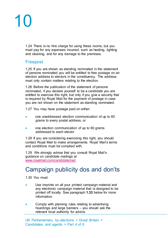1.24 There is no hire charge for using these rooms, but you must pay for any expenses incurred, such as heating, lighting and cleaning, and for any damage to the premises.

## <span id="page-9-0"></span>Freepost

1.25 If you are shown as standing nominated in the statement of persons nominated you will be entitled to free postage on an election address to electors in the constituency. The address must only contain matters relating to the election.

1.26 Before the publication of the statement of persons nominated, if you declare yourself to be a candidate you are entitled to exercise this right, but only if you give a security that is required by Royal Mail for the payment of postage in case you are not shown on the statement as standing nominated.

1.27 You may have postage paid on either:

- one unaddressed election communication of up to 60 grams to every postal address, or
- one election communication of up to 60 grams addressed to each elector

1.28 If you are considering exercising this right, you should contact Royal Mail to make arrangements. Royal Mail's terms and conditions must be complied with.

1.29 We strongly advise that you consult Royal Mail's guidance on candidate mailings at [www.royalmail.com/candidatemail.](http://www.royalmail.com/candidatemail)

## <span id="page-9-1"></span>Campaign publicity dos and don'ts

1.30 You must:

- Use imprints on all your printed campaign material and any electronic campaign material that is designed to be printed off locally. See paragraph **[1.33](#page-10-3)** below for more information.
- Comply with planning rules relating to advertising hoardings and large banners – you should ask the relevant local authority for advice.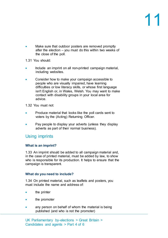• Make sure that outdoor posters are removed promptly after the election – you must do this within two weeks of the close of the poll.

1.31 You should:

- Include an imprint on all non-printed campaign material, including websites.
- Consider how to make your campaign accessible to people who are visually impaired, have learning difficulties or low literacy skills, or whose first language isn't English or, in Wales, Welsh. You may want to make contact with disability groups in your local area for advice.

1.32 You must not:

- Produce material that looks like the poll cards sent to voters by the (Acting) Returning Officer.
- Pay people to display your adverts (unless they display adverts as part of their normal business).

## <span id="page-10-0"></span>Using imprints

## <span id="page-10-1"></span>**What is an imprint?**

1.33 An imprint should be added to all campaign material and, in the case of printed material, must be added by law, to show who is responsible for its production. It helps to ensure that the campaign is transparent.

## <span id="page-10-2"></span>**What do you need to include?**

<span id="page-10-3"></span>1.34 On printed material, such as leaflets and posters, you must include the name and address of:

- the printer
- the promoter
- any person on behalf of whom the material is being published (and who is not the promoter)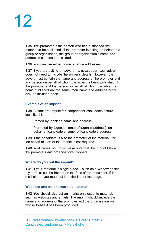1.35 The promoter is the person who has authorised the material to be published. If the promoter is acting on behalf of a group or organisation, the group or organisation's name and address must also be included.

1.36 You can use either home or office addresses.

1.37 If you are putting an advert in a newspaper, your advert does not need to include the printer's details. However, the advert must contain the name and address of the promoter and any person on behalf of whom the advert is being published. If the promoter and the person on behalf of whom the advert is being published are the same, their name and address need only be included once.

## <span id="page-11-0"></span>**Example of an imprint**

1.38 A standard imprint for independent candidates should look like this:

Printed by [printer's name and address].

Promoted by [agent's name] of [agent's address], on behalf of [candidate's name] of [candidate's address].

1.39 If the candidate is also the promoter of the material, the 'on behalf of' part of the imprint is not required.

1.40 In all cases, you must make sure that the imprint lists all the promoters and organisations involved.

## <span id="page-11-1"></span>**Where do you put the imprint?**

1.41 If your material is single-sided – such as a window poster – you must put the imprint on the face of the document. If it is multi-sided, you must put it on the first or last page.

## <span id="page-11-2"></span>**Websites and other electronic material**

1.42 You should also put an imprint on electronic material, such as websites and emails. The imprint should include the name and address of the promoter and the organisation on whose behalf it has been produced.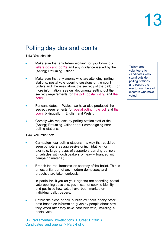## <span id="page-12-0"></span>Polling day dos and don'ts

1.43 You should:

- Make sure that any tellers working for you follow our [tellers dos and don'ts](http://www.electoralcommission.org.uk/__data/assets/pdf_file/0006/141891/Tellers-dos-and-donts-generic.pdf) and any guidance issued by the (Acting) Returning Officer.
- Make sure that any agents who are attending polling stations, postal vote opening sessions or the count understand the rules about the secrecy of the ballot. For more information, see our documents setting out the secrecy requirements for [the poll,](http://www.electoralcommission.org.uk/__data/assets/word_doc/0007/141892/Secrecy-requirements-the-poll-LGE.doc) [postal voting](http://www.electoralcommission.org.uk/__data/assets/word_doc/0008/141893/Secrecy-Requirements-Postal-Voting-LGE.doc) and the [count](http://www.electoralcommission.org.uk/__data/assets/word_doc/0010/141895/Secrecy-requirements-verification-and-count-LGE.doc)
- For candidates in Wales, we have also produced the secrecy requirements for [postal voting,](http://www.electoralcommission.org.uk/__data/assets/word_doc/0003/141897/Secrecy-requirements-postal-voting-Wales-LGW-WB.doc) [the poll](http://www.electoralcommission.org.uk/__data/assets/word_doc/0011/141896/Secrecy-requirements-the-poll-Wales-LGW-WB.doc) and the [count](http://www.electoralcommission.org.uk/__data/assets/word_doc/0004/141898/Secrecy-requirements-verification-and-count-Wales-LGW-WB.doc) bi-lingually in English and Welsh.
- Comply with requests by polling station staff or the (Acting) Returning Officer about campaigning near polling stations.

1.44 You must not:

- Campaign near polling stations in a way that could be seen by voters as aggressive or intimidating (for example, large groups of supporters carrying banners, or vehicles with loudspeakers or heavily branded with campaign material).
- Breach the requirements on secrecy of the ballot. This is an essential part of any modern democracy and breaches are taken seriously.

In particular, if you (or your agents) are attending postal vote opening sessions, you must not seek to identify and publicise how votes have been marked on individual ballot papers.

Before the close of poll, publish exit polls or any other data based on information given by people about how they voted after they have cast their vote, including a postal vote.

UK Parliamentary by-elections > Great Britain > Candidates and agents > Part 4 of 6

Tellers are volunteers for candidates who stand outside polling stations and record the elector numbers of electors who have voted.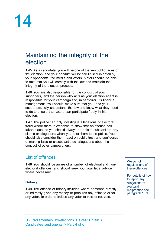## <span id="page-13-0"></span>Maintaining the integrity of the election

1.45 As a candidate, you will be one of the key public faces of the election, and your conduct will be scrutinised in detail by your opponents, the media and voters. Voters should be able to trust that you will comply with the law and maintain the integrity of the election process.

1.46 You are also responsible for the conduct of your supporters, and the person who acts as your election agent is responsible for your campaign and, in particular, its financial management. You should make sure that you, and your supporters, fully understand the law and know what they need to do to ensure that voters can participate freely in this election.

1.47 The police can only investigate allegations of electoral fraud where there is evidence to show that an offence has taken place, so you should always be able to substantiate any claims or allegations when you refer them to the police. You should also consider the impact on public trust and confidence of making false or unsubstantiated allegations about the conduct of other campaigners.

## <span id="page-13-1"></span>List of offences

<span id="page-13-3"></span>1.48 You should be aware of a number of electoral and nonelectoral offences, and should seek your own legal advice where necessary.

## <span id="page-13-2"></span>**Bribery**

1.49 The offence of bribery includes where someone directly or indirectly gives any money or procures any office to or for any voter, in order to induce any voter to vote or not vote.

We do not regulate any of these offences.

For details of how to report any allegations of electoral malpractice see paragraph **[1.61](#page-16-3)**.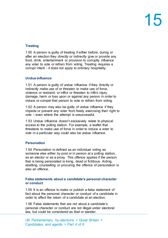## <span id="page-14-0"></span>**Treating**

1.50 A person is guilty of treating if either before, during or after an election they directly or indirectly give or provide any food, drink, entertainment or provision to corruptly influence any voter to vote or refrain from voting. Treating requires a corrupt intent - it does not apply to ordinary hospitality.

## <span id="page-14-1"></span>**Undue influence**

1.51 A person is guilty of undue influence if they directly or indirectly make use of or threaten to make use of force, violence or restraint, or inflict or threaten to inflict injury, damage, harm or loss upon or against any person in order to induce or compel that person to vote or refrain from voting.

1.52 A person may also be guilty of undue influence if they impede or prevent any voter from freely exercising their right to vote – even where the attempt is unsuccessful.

1.53 Undue influence doesn't exclusively relate to physical access to the polling station. For example, a leaflet that threatens to make use of force in order to induce a voter to vote in a particular way could also be undue influence.

## <span id="page-14-2"></span>**Personation**

1.54 Personation is defined as an individual voting as someone else either by post or in person at a polling station, as an elector or as a proxy. This offence applies if the person that is being personated is living, dead or fictitious. Aiding, abetting, counselling or procuring the offence of personation is also an offence.

## <span id="page-14-3"></span>**False statements about a candidate's personal character or conduct**

1.55 It is an offence to make or publish a false statement of fact about the personal character or conduct of a candidate in order to affect the return of a candidate at an election.

1.56 False statements that are not about a candidate's personal character or conduct are not illegal under electoral law, but could be considered as libel or slander.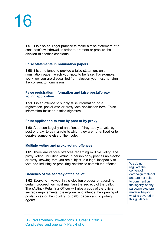1.57 It is also an illegal practice to make a false statement of a candidate's withdrawal in order to promote or procure the election of another candidate.

## <span id="page-15-0"></span>**False statements in nomination papers**

1.58 It is an offence to provide a false statement on a nomination paper, which you know to be false. For example, if you know you are disqualified from election you must not sign the consent to nomination.

#### <span id="page-15-1"></span>**False registration information and false postal/proxy voting application**

1.59 It is an offence to supply false information on a registration, postal vote or proxy vote application form. False information includes a false signature.

## <span id="page-15-2"></span>**False application to vote by post or by proxy**

1.60 A person is guilty of an offence if they apply to vote by post or proxy to gain a vote to which they are not entitled or to deprive someone else of their vote.

## <span id="page-15-3"></span>**Multiple voting and proxy voting offences**

1.61 There are various offences regarding multiple voting and proxy voting, including voting in person or by post as an elector or proxy knowing that you are subject to a legal incapacity to vote and inducing or procuring another to commit the offence.

## <span id="page-15-4"></span>**Breaches of the secrecy of the ballot**

1.62 Everyone involved in the election process or attending certain proceedings must maintain the secrecy of the ballot. The (Acting) Returning Officer will give a copy of the official secrecy requirements to everyone who attends the opening of postal votes or the counting of ballot papers and to polling agents.

We do not regulate the content of campaign material and are not able to comment on the legality of any particular electoral material beyond what is covered in this guidance.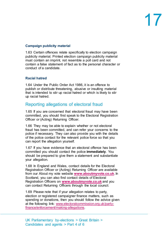## <span id="page-16-0"></span>**Campaign publicity material**

1.63 Certain offences relate specifically to election campaign publicity material. Printed election campaign publicity material must contain an imprint, not resemble a poll card and not contain a false statement of fact as to the personal character or conduct of a candidate.

## <span id="page-16-1"></span>**Racial hatred**

1.64 Under the Public Order Act 1986, it is an offence to publish or distribute threatening, abusive or insulting material that is intended to stir up racial hatred or which is likely to stir up racial hatred.

## <span id="page-16-2"></span>Reporting allegations of electoral fraud

<span id="page-16-3"></span>1.65 If you are concerned that electoral fraud may have been committed, you should first speak to the Electoral Registration Officer or (Acting) Returning Officer.

1.66 They may be able to explain whether or not electoral fraud has been committed, and can refer your concerns to the police if necessary. They can also provide you with the details of the police contact for the relevant police force so that you can report the allegation yourself.

1.67 If you have evidence that an electoral offence has been committed you should contact the police **immediately**. You should be prepared to give them a statement and substantiate your allegation.

1.68 In England and Wales, contact details for the Electoral Registration Officer or (Acting) Returning Officer are available from our About my vote website **[www.aboutmyvote.co.uk](http://www.aboutmyvote.co.uk/)**. In Scotland, you can also find contact details of Electoral Registration Officers on **[www.aboutmyvote.co.uk](http://www.aboutmyvote.co.uk/)** and you can contact Returning Officers through the local council.

1.69 Please note that if your allegation relates to party, election or registered campaigner finance matters, such as spending or donations, then you should follow the advice given at the following link: [www.electoralcommission.org.uk/party](http://www.electoralcommission.org.uk/party-finance/enforcement/making-allegations)[finance/enforcement/making-allegations.](http://www.electoralcommission.org.uk/party-finance/enforcement/making-allegations)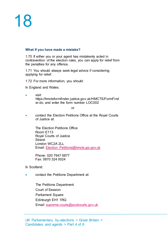## <span id="page-17-0"></span>**What if you have made a mistake?**

<span id="page-17-1"></span>1.70 If either you or your agent has mistakenly acted in contravention of the election rules, you can apply for relief from the penalties for any offence.

1.71 You should always seek legal advice if considering applying for relief.

1.72 For more information, you should:

In England and Wales:

• visit https://hmctsformfinder.justice.gov.uk/HMCTS/FormFind er.do, and enter the form number LOC002

or

• contact the Election Petitions Office at the Royal Courts of Justice at:

> The Election Petitions Office Room E113 Royal Courts of Justice Strand London WC2A 2LL Email: [Election\\_Petitions@hmcts.gsi.gov.uk](mailto:Election_Petitions@hmcts.gsi.gov.uk)

Phone: 020 7947 6877 Fax: 0870 324 0024

In Scotland:

• contact the Petitions Department at:

The Petitions Department Court of Session Parliament Square Edinburgh EH1 1RQ Email: [supreme.courts@scotcourts.gov.uk](mailto:supreme.courts@scotcourts.gov.uk)